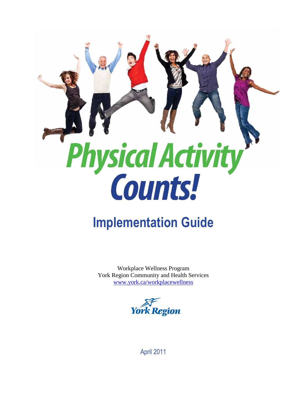

# **Implementation Guide**

Workplace Wellness Program York Region Community and Health Services [www.york.ca/workplacewellness](http://www.york.ca/workplacewellness)



April 2011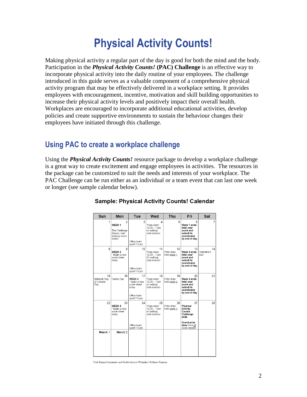# **Physical Activity Counts!**

Making physical activity a regular part of the day is good for both the mind and the body. Participation in the *Physical Activity Counts!* **(PAC) Challenge** is an effective way to incorporate physical activity into the daily routine of your employees. The challenge introduced in this guide serves as a valuable component of a comprehensive physical activity program that may be effectively delivered in a workplace setting. It provides employees with encouragement, incentive, motivation and skill building opportunities to increase their physical activity levels and positively impact their overall health. Workplaces are encouraged to incorporate additional educational activities, develop policies and create supportive environments to sustain the behaviour changes their employees have initiated through this challenge.

## **Using PAC to create a workplace challenge**

Using the *Physical Activity Counts!* resource package to develop a workplace challenge is a great way to create excitement and engage employees in activities. The resources in the package can be customized to suit the needs and interests of your workplace. The PAC Challenge can be run either as an individual or a team event that can last one week or longer (see sample calendar below).

| Sun                                     | Mon                                                                                              | Tue                                                                                             | Wed                                                                | Thu                             | Fri                                                                                                        | Sat                      |
|-----------------------------------------|--------------------------------------------------------------------------------------------------|-------------------------------------------------------------------------------------------------|--------------------------------------------------------------------|---------------------------------|------------------------------------------------------------------------------------------------------------|--------------------------|
| 1                                       | $\overline{2}$<br>WEEK <sub>1</sub><br>The Challenge<br>Begins: start<br>keeping score<br>today! | 3<br>Office team<br>sport 7-8 pm                                                                | 4<br>Yoga class:<br>$12:30 - 1$ pm<br>or walking<br>club (indoor)  | 5                               | 6<br>Week 1 ends:<br>total your<br>score and<br>submit to<br>coordinator<br>by end of day                  | 7                        |
| 8                                       | 9<br>WEEK <sub>2</sub><br>* begin a new<br>score sheet<br>today                                  | 10<br>Office team<br>sport 7-8 pm                                                               | 11<br>Yoga class:<br>$12:30 - 1$ pm<br>Or walking<br>club (indoor) | 12<br>Prize draw<br>from week 1 | 13<br>Week 2 ends:<br>total your<br>score and<br>submit to<br>coordinator<br>by end of day                 | 14<br>Valentine's<br>Dav |
| 15<br>National Flag<br>of Canada<br>Day | 16<br>Family Day                                                                                 | 17<br>WEEK <sub>3</sub><br>* begin a new<br>score sheet<br>today<br>Office team<br>sport 7-8 pm | 18<br>Yoga class:<br>$12:30 - 1$ pm<br>or walking<br>club (indoor) | 19<br>Prize draw<br>from week 2 | 20<br>Week 3 ends:<br>total your<br>score and<br>submit to<br>coordinator<br>by end of day                 | 21                       |
| 22                                      | 23<br>WEEK 4<br>* begin a new<br>score sheet<br>today                                            | 24<br>Office team<br>sport 7-8 pm                                                               | 25<br>Yoga class:<br>$12:30 - 1$ pm<br>or walking<br>club (indoor) | 26<br>Prize draw<br>from week 3 | 27<br>Physical<br>Activity<br>Counts<br>Challenge<br>ends<br>Grand prize<br>draw from all<br>score sheets! | 28                       |
| March 1                                 | March <sub>2</sub>                                                                               |                                                                                                 |                                                                    |                                 |                                                                                                            |                          |

## **Sample: Physical Activity Counts! Calendar**

York Region Community and Health Services Workplace Wellness Program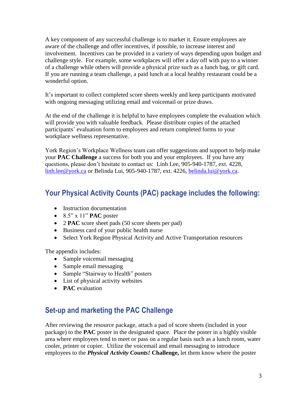A key component of any successful challenge is to market it. Ensure employees are aware of the challenge and offer incentives, if possible, to increase interest and involvement. Incentives can be provided in a variety of ways depending upon budget and challenge style. For example, some workplaces will offer a day off with pay to a winner of a challenge while others will provide a physical prize such as a lunch bag, or gift card. If you are running a team challenge, a paid lunch at a local healthy restaurant could be a wonderful option.

It's important to collect completed score sheets weekly and keep participants motivated with ongoing messaging utilizing email and voicemail or prize draws.

At the end of the challenge it is helpful to have employees complete the evaluation which will provide you with valuable feedback. Please distribute copies of the attached participants' evaluation form to employees and return completed forms to your workplace wellness representative.

York Region's Workplace Wellness team can offer suggestions and support to help make your **PAC Challenge** a success for both you and your employees. If you have any questions, please don't hesitate to contact us: Linh Lee, 905-940-1787, ext. 4228, [linh.lee@york.ca](mailto:linh.lee@york.ca) or Belinda Lui, 905-940-1787, ext. 4226, [belinda.lui@york.ca.](mailto:belinda.lui@york.ca)

## **Your Physical Activity Counts (PAC) package includes the following:**

- Instruction documentation
- $\bullet$  8.5" x 11" **PAC** poster
- 2 **PAC** score sheet pads (50 score sheets per pad)
- Business card of your public health nurse
- Select York Region Physical Activity and Active Transportation resources

The appendix includes:

- Sample voicemail messaging
- Sample email messaging
- Sample "Stairway to Health" posters
- List of physical activity websites
- **PAC** evaluation

## **Set-up and marketing the PAC Challenge**

After reviewing the resource package, attach a pad of score sheets (included in your package) to the **PAC** poster in the designated space. Place the poster in a highly visible area where employees tend to meet or pass on a regular basis such as a lunch room, water cooler, printer or copier. Utilize the voicemail and email messaging to introduce employees to the *Physical Activity Counts!* **Challenge,** let them know where the poster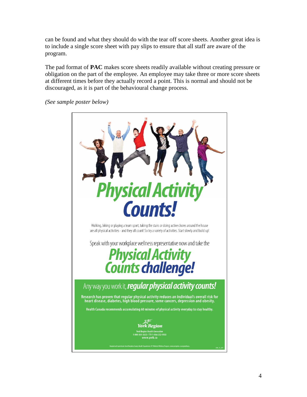can be found and what they should do with the tear off score sheets. Another great idea is to include a single score sheet with pay slips to ensure that all staff are aware of the program.

The pad format of **PAC** makes score sheets readily available without creating pressure or obligation on the part of the employee. An employee may take three or more score sheets at different times before they actually record a point. This is normal and should not be discouraged, as it is part of the behavioural change process.

*(See sample poster below)*

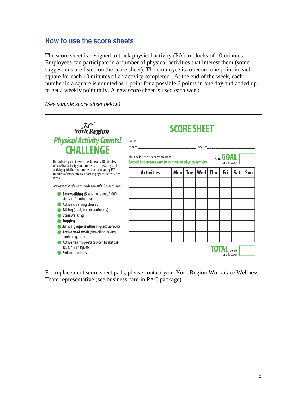## **How to use the score sheets**

The score sheet is designed to track physical activity (PA) in blocks of 10 minutes. Employees can participate in a number of physical activities that interest them (some suggestions are listed on the score sheet). The employee is to record one point in each square for each 10 minutes of an activity completed. At the end of the week, each number in a square is counted as 1 point for a possible 6 points in one day and added up to get a weekly point tally. A new score sheet is used each week.

*(See sample score sheet below)*

| York Region                                                                                                      | <b>SCORE SHEET</b>                                                                                                                     |       |     |     |     |                     |     |     |
|------------------------------------------------------------------------------------------------------------------|----------------------------------------------------------------------------------------------------------------------------------------|-------|-----|-----|-----|---------------------|-----|-----|
| <b>Physical Activity Counts!</b><br><b>CHALLENGE</b>                                                             |                                                                                                                                        |       |     |     |     |                     |     |     |
| Record one point in each box for every 10 minutes<br>of physical activity you complete. The new physical         | Mark daily activities down columns.<br>Point <b>GUAL</b><br>Record 1 point for every 10 minutes of physical activity.<br>for this week |       |     |     |     |                     |     |     |
| activity quidelines recommend accumulating 150<br>minutes of moderate to vigorous physical activity per<br>week. | <b>Activities</b>                                                                                                                      | Mon l | Tue | Wed | Thu | Fri                 | Sat | Sun |
| Examples of moderate intensity physical activities include:                                                      |                                                                                                                                        |       |     |     |     |                     |     |     |
| <b>Easy walking</b> (5 km/h or about 1,000<br>steps, in 10 minutes)                                              |                                                                                                                                        |       |     |     |     |                     |     |     |
| <b>Active cleaning chores</b><br><b>Biking</b> (road, trail or stationary)                                       |                                                                                                                                        |       |     |     |     |                     |     |     |
| <b>Stair walking</b>                                                                                             |                                                                                                                                        |       |     |     |     |                     |     |     |
| Jogging                                                                                                          |                                                                                                                                        |       |     |     |     |                     |     |     |
| Jumping rope or other in-place aerobics<br>Active yard work (shovelling, raking,<br>gardening, etc.)             |                                                                                                                                        |       |     |     |     |                     |     |     |
| Active team sports (soccer, basketball,<br>squash, curling, etc.)                                                |                                                                                                                                        |       |     |     |     | <b>TOTAL</b> points |     |     |
| <b>Swimming laps</b>                                                                                             |                                                                                                                                        |       |     |     |     | for this week       |     |     |

For replacement score sheet pads, please contact your York Region Workplace Wellness Team representative (see business card in PAC package).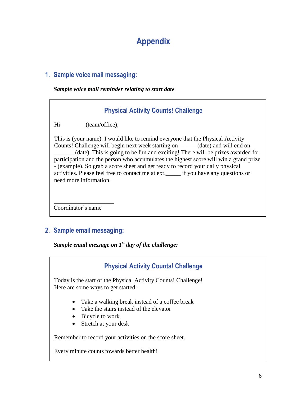## **Appendix**

## **1. Sample voice mail messaging:**

#### *Sample voice mail reminder relating to start date*

## **Physical Activity Counts! Challenge**

Hi (team/office),

This is (your name). I would like to remind everyone that the Physical Activity Counts! Challenge will begin next week starting on \_\_\_\_\_\_(date) and will end on \_\_\_\_\_\_\_(date). This is going to be fun and exciting! There will be prizes awarded for participation and the person who accumulates the highest score will win a grand prize - (example). So grab a score sheet and get ready to record your daily physical activities. Please feel free to contact me at ext.\_\_\_\_\_ if you have any questions or need more information.

Coordinator's name

\_\_\_\_\_\_\_\_\_\_\_\_\_\_\_\_\_\_\_\_

## **2. Sample email messaging:**

*Sample email message on 1st day of the challenge:*

## **Physical Activity Counts! Challenge**

Today is the start of the Physical Activity Counts! Challenge! Here are some ways to get started:

- Take a walking break instead of a coffee break
- Take the stairs instead of the elevator
- Bicycle to work
- Stretch at your desk

Remember to record your activities on the score sheet.

Every minute counts towards better health!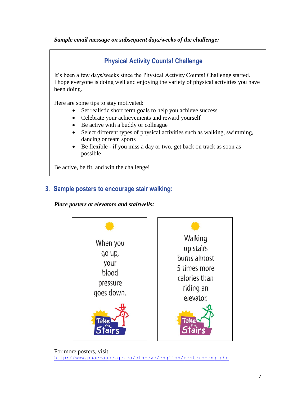### *Sample email message on subsequent days/weeks of the challenge:*



Be active, be fit, and win the challenge!

## **3. Sample posters to encourage stair walking:**

*Place posters at elevators and stairwells:*

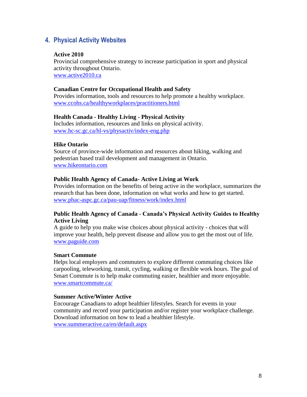## **4. Physical Activity Websites**

#### **Active 2010**

Provincial comprehensive strategy to increase participation in sport and physical activity throughout Ontario. [www.active2010.ca](http://www.active2010.ca/)

#### **Canadian Centre for Occupational Health and Safety**

Provides information, tools and resources to help promote a healthy workplace. [www.ccohs.ca/healthyworkplaces/practitioners.html](http://www.ccohs.ca/healthyworkplaces/practitioners.html)

#### **Health Canada - Healthy Living - Physical Activity**

Includes information, resources and links on physical activity. [www.hc-sc.gc.ca/hl-vs/physactiv/index-eng.php](http://www.hc-sc.gc.ca/hl-vs/physactiv/index-eng.php)

#### **Hike Ontario**

Source of province-wide information and resources about hiking, walking and pedestrian based trail development and management in Ontario. [www.hikeontario.com](http://www.hikeontario.com/)

#### **Public Health Agency of Canada- Active Living at Work**

Provides information on the benefits of being active in the workplace, summarizes the research that has been done, information on what works and how to get started. [www.phac-aspc.gc.ca/pau-uap/fitness/work/index.html](http://www.phac-aspc.gc.ca/pau-uap/fitness/work/index.html)

#### **Public Health Agency of Canada - Canada's Physical Activity Guides to Healthy Active Living**

A guide to help you make wise choices about physical activity - choices that will improve your health, help prevent disease and allow you to get the most out of life. [www.paguide.com](http://www.paguide.com/)

#### **Smart Commute**

Helps local employers and commuters to explore different commuting choices like carpooling, teleworking, transit, cycling, walking or flexible work hours. The goal of Smart Commute is to help make commuting easier, healthier and more enjoyable. [www.smartcommute.ca/](http://www.smartcommute.ca/)

#### **Summer Active/Winter Active**

Encourage Canadians to adopt healthier lifestyles. Search for events in your community and record your participation and/or register your workplace challenge. Download information on how to lead a healthier lifestyle. [www.summeractive.ca/en/default.aspx](http://www.summeractive.ca/en/default.aspx)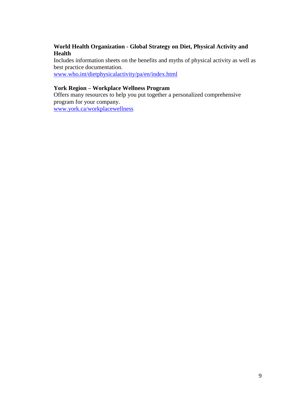#### **World Health Organization - Global Strategy on Diet, Physical Activity and Health**

Includes information sheets on the benefits and myths of physical activity as well as best practice documentation.

[www.who.int/dietphysicalactivity/pa/en/index.html](http://www.who.int/dietphysicalactivity/pa/en/index.html)

### **York Region – Workplace Wellness Program**

Offers many resources to help you put together a personalized comprehensive program for your company. [www.york.ca/workplacewellness](http://www.york.ca/workplacewellness)